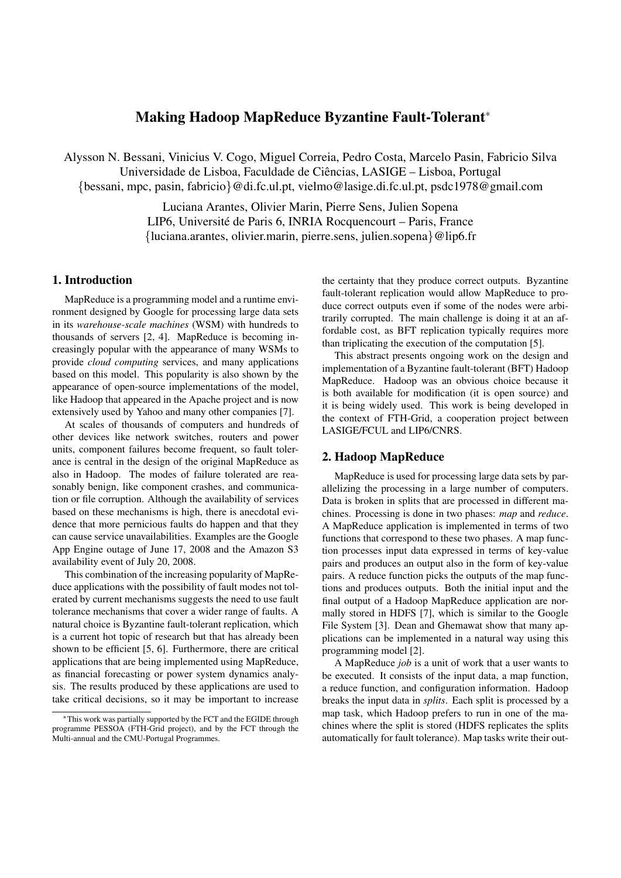# Making Hadoop MapReduce Byzantine Fault-Tolerant<sup>∗</sup>

Alysson N. Bessani, Vinicius V. Cogo, Miguel Correia, Pedro Costa, Marcelo Pasin, Fabricio Silva Universidade de Lisboa, Faculdade de Ciencias, LASIGE – Lisboa, Portugal ˆ {bessani, mpc, pasin, fabricio}@di.fc.ul.pt, vielmo@lasige.di.fc.ul.pt, psdc1978@gmail.com

> Luciana Arantes, Olivier Marin, Pierre Sens, Julien Sopena LIP6, Université de Paris 6, INRIA Rocquencourt – Paris, France {luciana.arantes, olivier.marin, pierre.sens, julien.sopena}@lip6.fr

### 1. Introduction

MapReduce is a programming model and a runtime environment designed by Google for processing large data sets in its *warehouse-scale machines* (WSM) with hundreds to thousands of servers [2, 4]. MapReduce is becoming increasingly popular with the appearance of many WSMs to provide *cloud computing* services, and many applications based on this model. This popularity is also shown by the appearance of open-source implementations of the model, like Hadoop that appeared in the Apache project and is now extensively used by Yahoo and many other companies [7].

At scales of thousands of computers and hundreds of other devices like network switches, routers and power units, component failures become frequent, so fault tolerance is central in the design of the original MapReduce as also in Hadoop. The modes of failure tolerated are reasonably benign, like component crashes, and communication or file corruption. Although the availability of services based on these mechanisms is high, there is anecdotal evidence that more pernicious faults do happen and that they can cause service unavailabilities. Examples are the Google App Engine outage of June 17, 2008 and the Amazon S3 availability event of July 20, 2008.

This combination of the increasing popularity of MapReduce applications with the possibility of fault modes not tolerated by current mechanisms suggests the need to use fault tolerance mechanisms that cover a wider range of faults. A natural choice is Byzantine fault-tolerant replication, which is a current hot topic of research but that has already been shown to be efficient [5, 6]. Furthermore, there are critical applications that are being implemented using MapReduce, as financial forecasting or power system dynamics analysis. The results produced by these applications are used to take critical decisions, so it may be important to increase the certainty that they produce correct outputs. Byzantine fault-tolerant replication would allow MapReduce to produce correct outputs even if some of the nodes were arbitrarily corrupted. The main challenge is doing it at an affordable cost, as BFT replication typically requires more than triplicating the execution of the computation [5].

This abstract presents ongoing work on the design and implementation of a Byzantine fault-tolerant (BFT) Hadoop MapReduce. Hadoop was an obvious choice because it is both available for modification (it is open source) and it is being widely used. This work is being developed in the context of FTH-Grid, a cooperation project between LASIGE/FCUL and LIP6/CNRS.

## 2. Hadoop MapReduce

MapReduce is used for processing large data sets by parallelizing the processing in a large number of computers. Data is broken in splits that are processed in different machines. Processing is done in two phases: *map* and *reduce*. A MapReduce application is implemented in terms of two functions that correspond to these two phases. A map function processes input data expressed in terms of key-value pairs and produces an output also in the form of key-value pairs. A reduce function picks the outputs of the map functions and produces outputs. Both the initial input and the final output of a Hadoop MapReduce application are normally stored in HDFS [7], which is similar to the Google File System [3]. Dean and Ghemawat show that many applications can be implemented in a natural way using this programming model [2].

A MapReduce *job* is a unit of work that a user wants to be executed. It consists of the input data, a map function, a reduce function, and configuration information. Hadoop breaks the input data in *splits*. Each split is processed by a map task, which Hadoop prefers to run in one of the machines where the split is stored (HDFS replicates the splits automatically for fault tolerance). Map tasks write their out-

<sup>∗</sup>This work was partially supported by the FCT and the EGIDE through programme PESSOA (FTH-Grid project), and by the FCT through the Multi-annual and the CMU-Portugal Programmes.